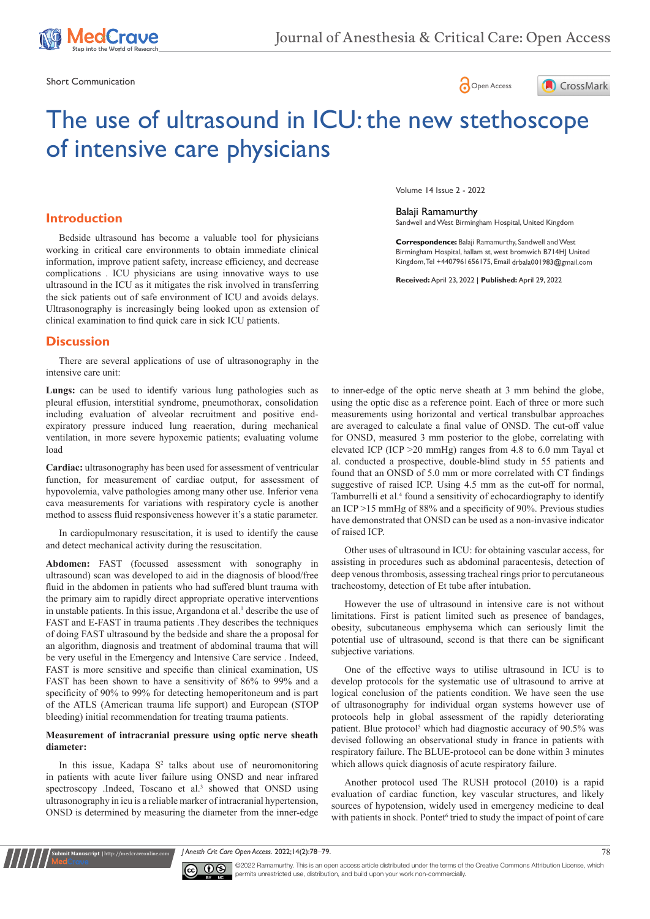

Short Communication  $\bigcap_{\Omega}$  Open Access





# The use of ultrasound in ICU: the new stethoscope of intensive care physicians

# **Introduction**

Bedside ultrasound has become a valuable tool for physicians working in critical care environments to obtain immediate clinical information, improve patient safety, increase efficiency, and decrease complications . ICU physicians are using innovative ways to use ultrasound in the ICU as it mitigates the risk involved in transferring the sick patients out of safe environment of ICU and avoids delays. Ultrasonography is increasingly being looked upon as extension of clinical examination to find quick care in sick ICU patients.

#### **Discussion**

There are several applications of use of ultrasonography in the intensive care unit:

**Lungs:** can be used to identify various lung pathologies such as pleural effusion, interstitial syndrome, pneumothorax, consolidation including evaluation of alveolar recruitment and positive endexpiratory pressure induced lung reaeration, during mechanical ventilation, in more severe hypoxemic patients; evaluating volume load

**Cardiac:** ultrasonography has been used for assessment of ventricular function, for measurement of cardiac output, for assessment of hypovolemia, valve pathologies among many other use. Inferior vena cava measurements for variations with respiratory cycle is another method to assess fluid responsiveness however it's a static parameter.

In cardiopulmonary resuscitation, it is used to identify the cause and detect mechanical activity during the resuscitation.

**Abdomen:** FAST (focussed assessment with sonography in ultrasound) scan was developed to aid in the diagnosis of blood/free fluid in the abdomen in patients who had suffered blunt trauma with the primary aim to rapidly direct appropriate operative interventions in unstable patients. In this issue, Argandona et al.<sup>1</sup> describe the use of FAST and E-FAST in trauma patients .They describes the techniques of doing FAST ultrasound by the bedside and share the a proposal for an algorithm, diagnosis and treatment of abdominal trauma that will be very useful in the Emergency and Intensive Care service . Indeed, FAST is more sensitive and specific than clinical examination, US FAST has been shown to have a sensitivity of 86% to 99% and a specificity of 90% to 99% for detecting hemoperitoneum and is part of the ATLS (American trauma life support) and European (STOP bleeding) initial recommendation for treating trauma patients.

#### **Measurement of intracranial pressure using optic nerve sheath diameter:**

In this issue, Kadapa  $S<sup>2</sup>$  talks about use of neuromonitoring in patients with acute liver failure using ONSD and near infrared spectroscopy .Indeed, Toscano et al.<sup>3</sup> showed that ONSD using ultrasonography in icu is a reliable marker of intracranial hypertension, ONSD is determined by measuring the diameter from the inner-edge

**it Manuscript** | http://medcraveonline.c

Volume 14 Issue 2 - 2022

Balaji Ramamurthy

Sandwell and West Birmingham Hospital, United Kingdom

**Correspondence:** Balaji Ramamurthy, Sandwell and West Birmingham Hospital, hallam st, west bromwich B714HJ United Kingdom, Tel +4407961656175, Email drbala001983@gmail.com

**Received:** April 23, 2022 | **Published:** April 29, 2022

to inner-edge of the optic nerve sheath at 3 mm behind the globe, using the optic disc as a reference point. Each of three or more such measurements using horizontal and vertical transbulbar approaches are averaged to calculate a final value of ONSD. The cut-off value for ONSD, measured 3 mm posterior to the globe, correlating with elevated ICP (ICP >20 mmHg) ranges from 4.8 to 6.0 mm Tayal et al. conducted a prospective, double-blind study in 55 patients and found that an ONSD of 5.0 mm or more correlated with CT findings suggestive of raised ICP. Using 4.5 mm as the cut-off for normal, Tamburrelli et al.<sup>4</sup> found a sensitivity of echocardiography to identify an ICP >15 mmHg of 88% and a specificity of 90%. Previous studies have demonstrated that ONSD can be used as a non-invasive indicator of raised ICP.

Other uses of ultrasound in ICU: for obtaining vascular access, for assisting in procedures such as abdominal paracentesis, detection of deep venous thrombosis, assessing tracheal rings prior to percutaneous tracheostomy, detection of Et tube after intubation.

However the use of ultrasound in intensive care is not without limitations. First is patient limited such as presence of bandages, obesity, subcutaneous emphysema which can seriously limit the potential use of ultrasound, second is that there can be significant subjective variations.

One of the effective ways to utilise ultrasound in ICU is to develop protocols for the systematic use of ultrasound to arrive at logical conclusion of the patients condition. We have seen the use of ultrasonography for individual organ systems however use of protocols help in global assessment of the rapidly deteriorating patient. Blue protocol<sup>5</sup> which had diagnostic accuracy of 90.5% was devised following an observational study in france in patients with respiratory failure. The BLUE-protocol can be done within 3 minutes which allows quick diagnosis of acute respiratory failure.

Another protocol used The RUSH protocol (2010) is a rapid evaluation of cardiac function, key vascular structures, and likely sources of hypotension, widely used in emergency medicine to deal with patients in shock. Pontet<sup>6</sup> tried to study the impact of point of care

*J Anesth Crit Care Open Access.* 2022;14(2):78‒79. 78



©2022 Ramamurthy. This is an open access article distributed under the terms of the Creative Commons Attribution License, which permits unrestricted use, distribution, and build upon your work non-commercially.